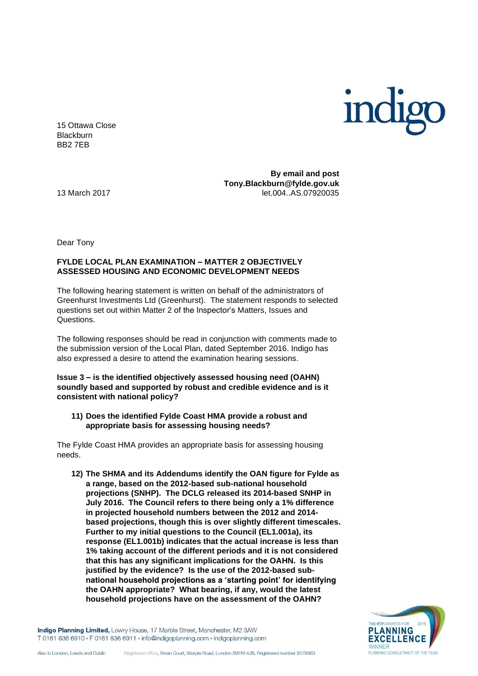

15 Ottawa Close **Blackburn** BB2 7EB

**By email and post Tony.Blackburn@fylde.gov.uk**  13 March 2017 let.004..AS.07920035

Dear Tony

# **FYLDE LOCAL PLAN EXAMINATION – MATTER 2 OBJECTIVELY ASSESSED HOUSING AND ECONOMIC DEVELOPMENT NEEDS**

The following hearing statement is written on behalf of the administrators of Greenhurst Investments Ltd (Greenhurst). The statement responds to selected questions set out within Matter 2 of the Inspector's Matters, Issues and Questions.

The following responses should be read in conjunction with comments made to the submission version of the Local Plan, dated September 2016. Indigo has also expressed a desire to attend the examination hearing sessions.

**Issue 3 – is the identified objectively assessed housing need (OAHN) soundly based and supported by robust and credible evidence and is it consistent with national policy?**

### **11) Does the identified Fylde Coast HMA provide a robust and appropriate basis for assessing housing needs?**

The Fylde Coast HMA provides an appropriate basis for assessing housing needs.

**12) The SHMA and its Addendums identify the OAN figure for Fylde as a range, based on the 2012-based sub-national household projections (SNHP). The DCLG released its 2014-based SNHP in July 2016. The Council refers to there being only a 1% difference in projected household numbers between the 2012 and 2014 based projections, though this is over slightly different timescales. Further to my initial questions to the Council (EL1.001a), its response (EL1.001b) indicates that the actual increase is less than 1% taking account of the different periods and it is not considered that this has any significant implications for the OAHN. Is this justified by the evidence? Is the use of the 2012-based subnational household projections as a 'starting point' for identifying the OAHN appropriate? What bearing, if any, would the latest household projections have on the assessment of the OAHN?**

Indigo Planning Limited, Lowry House, 17 Marble Street, Manchester, M2 3AW T 0161 836 6910 · F 0161 836 6911 · info@indigoplanning.com · indigoplanning.com

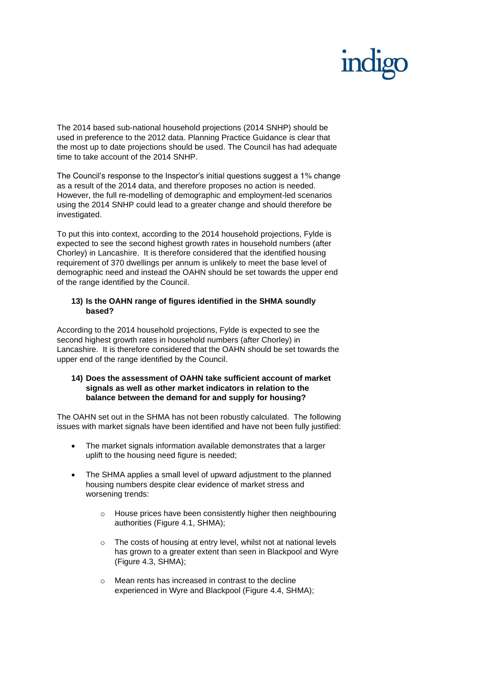The 2014 based sub-national household projections (2014 SNHP) should be used in preference to the 2012 data. Planning Practice Guidance is clear that the most up to date projections should be used. The Council has had adequate time to take account of the 2014 SNHP.

The Council's response to the Inspector's initial questions suggest a 1% change as a result of the 2014 data, and therefore proposes no action is needed. However, the full re-modelling of demographic and employment-led scenarios using the 2014 SNHP could lead to a greater change and should therefore be investigated.

To put this into context, according to the 2014 household projections, Fylde is expected to see the second highest growth rates in household numbers (after Chorley) in Lancashire. It is therefore considered that the identified housing requirement of 370 dwellings per annum is unlikely to meet the base level of demographic need and instead the OAHN should be set towards the upper end of the range identified by the Council.

# **13) Is the OAHN range of figures identified in the SHMA soundly based?**

According to the 2014 household projections, Fylde is expected to see the second highest growth rates in household numbers (after Chorley) in Lancashire. It is therefore considered that the OAHN should be set towards the upper end of the range identified by the Council.

# **14) Does the assessment of OAHN take sufficient account of market signals as well as other market indicators in relation to the balance between the demand for and supply for housing?**

The OAHN set out in the SHMA has not been robustly calculated. The following issues with market signals have been identified and have not been fully justified:

- The market signals information available demonstrates that a larger uplift to the housing need figure is needed;
- The SHMA applies a small level of upward adjustment to the planned housing numbers despite clear evidence of market stress and worsening trends:
	- o House prices have been consistently higher then neighbouring authorities (Figure 4.1, SHMA);
	- o The costs of housing at entry level, whilst not at national levels has grown to a greater extent than seen in Blackpool and Wyre (Figure 4.3, SHMA);
	- o Mean rents has increased in contrast to the decline experienced in Wyre and Blackpool (Figure 4.4, SHMA);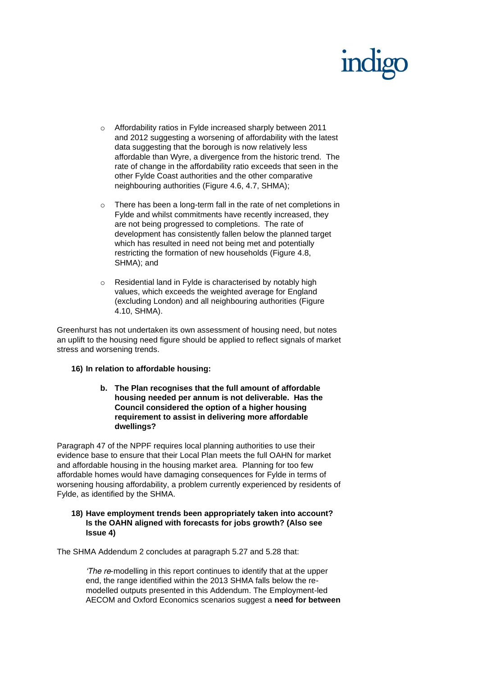- o Affordability ratios in Fylde increased sharply between 2011 and 2012 suggesting a worsening of affordability with the latest data suggesting that the borough is now relatively less affordable than Wyre, a divergence from the historic trend. The rate of change in the affordability ratio exceeds that seen in the other Fylde Coast authorities and the other comparative neighbouring authorities (Figure 4.6, 4.7, SHMA);
- o There has been a long-term fall in the rate of net completions in Fylde and whilst commitments have recently increased, they are not being progressed to completions. The rate of development has consistently fallen below the planned target which has resulted in need not being met and potentially restricting the formation of new households (Figure 4.8, SHMA); and
- o Residential land in Fylde is characterised by notably high values, which exceeds the weighted average for England (excluding London) and all neighbouring authorities (Figure 4.10, SHMA).

Greenhurst has not undertaken its own assessment of housing need, but notes an uplift to the housing need figure should be applied to reflect signals of market stress and worsening trends.

# **16) In relation to affordable housing:**

**b. The Plan recognises that the full amount of affordable housing needed per annum is not deliverable. Has the Council considered the option of a higher housing requirement to assist in delivering more affordable dwellings?**

Paragraph 47 of the NPPF requires local planning authorities to use their evidence base to ensure that their Local Plan meets the full OAHN for market and affordable housing in the housing market area. Planning for too few affordable homes would have damaging consequences for Fylde in terms of worsening housing affordability, a problem currently experienced by residents of Fylde, as identified by the SHMA.

# **18) Have employment trends been appropriately taken into account? Is the OAHN aligned with forecasts for jobs growth? (Also see Issue 4)**

The SHMA Addendum 2 concludes at paragraph 5.27 and 5.28 that:

*'The re-modelling in this report continues to identify that at the upper end, the range identified within the 2013 SHMA falls below the remodelled outputs presented in this Addendum. The Employment-led AECOM and Oxford Economics scenarios suggest a need for between*